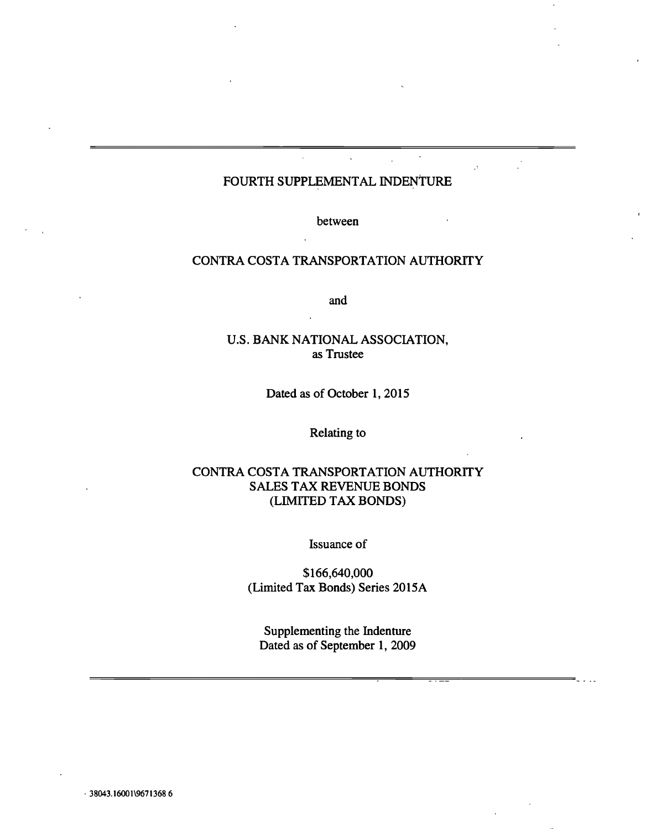# FOURTH SUPPLEMENTAL INDENTURE

 $\overline{1}$ 

between

## CONTRA COSTA TRANSPORTATION AUTHORiTY

and

## U.S. BANK NATIONAL ASSOCIATION, as Trustee

Dated as of October 1, 2015

Relating to

## CONTRA COSTA TRANSPORTATION AUTHORiTY SALES TAX REVENUE BONDS (LIMiTED TAX BONDS)

Issuance of

\$166,640,000 (Limited Tax Bonds) Series 2015A

Supplementing the Indenture Dated as of September 1, 2009

38043. 16001\967 13686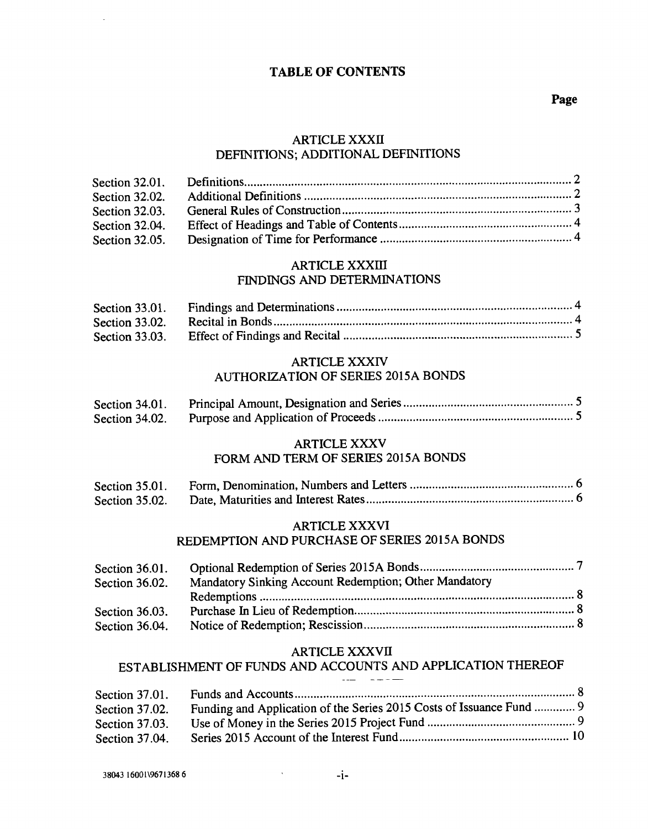## TABLE OF CONTENTS

## ARTICLE XXXII DEFINITIONS; ADDITIONAL DEFINITIONS

#### **ARTICLE XXXIII** FINDINGS AND DETERMINATIONS

| Section 33.01. |  |
|----------------|--|
| Section 33.02. |  |
| Section 33.03. |  |

## ARTICLE XXXIV AUTHORIZATION OF SERIES 2015A BONDS

| Section 34.01. |  |
|----------------|--|
| Section 34.02. |  |

## ARTICLE XXXV

## FORM AND TERM OF SERIES 2015A BONDS

| Section 35.01. |  |
|----------------|--|
| Section 35.02. |  |

#### ARTICLE XXXVI

## REDEMPTION AND PURCHASE OF SERIES 2015A BONDS

| Section 36.01. |                                                       |
|----------------|-------------------------------------------------------|
| Section 36.02. | Mandatory Sinking Account Redemption; Other Mandatory |
|                |                                                       |
| Section 36.03. |                                                       |
| Section 36.04. |                                                       |

#### ARTICLE XXXVII

# ESTABLISHMENT OF FUNDS AND ACCOUNTS AND APPLICATION THEREOF

 $\frac{1}{2} \left( \frac{1}{2} \right) \frac{1}{2} \left( \frac{1}{2} \right) \frac{1}{2} \left( \frac{1}{2} \right) \frac{1}{2} \left( \frac{1}{2} \right) \frac{1}{2} \left( \frac{1}{2} \right) \frac{1}{2} \left( \frac{1}{2} \right) \frac{1}{2} \left( \frac{1}{2} \right) \frac{1}{2} \left( \frac{1}{2} \right) \frac{1}{2} \left( \frac{1}{2} \right) \frac{1}{2} \left( \frac{1}{2} \right) \frac{1}{2} \left( \frac{1}{2} \right)$ 

| Section 37.01. |                                                                      |  |
|----------------|----------------------------------------------------------------------|--|
| Section 37.02. | Funding and Application of the Series 2015 Costs of Issuance Fund  9 |  |
| Section 37.03. |                                                                      |  |
| Section 37.04. |                                                                      |  |

 $\sim 800$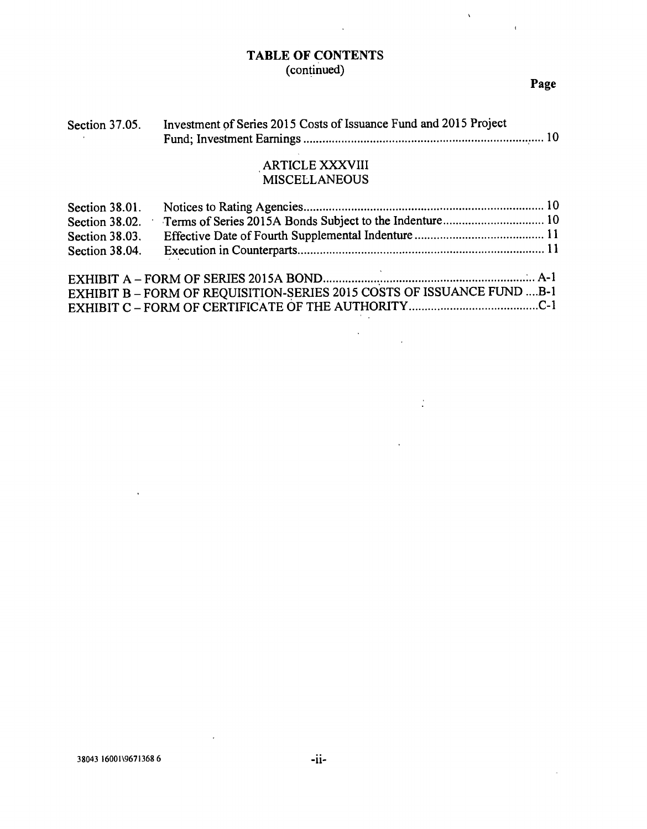# TABLE OF CONTENTS (continued)

 $\bar{\mathcal{A}}$ 

## Page

 $\bar{V}$ 

 $\Delta \tau$ 

| Section 37.05. | Investment of Series 2015 Costs of Issuance Fund and 2015 Project |  |
|----------------|-------------------------------------------------------------------|--|
|                |                                                                   |  |

# ARTICLE XXXVIII MISCELLANEOUS

| Section 38.01. |                                                                         |  |
|----------------|-------------------------------------------------------------------------|--|
| Section 38.02. |                                                                         |  |
| Section 38.03. |                                                                         |  |
| Section 38.04. |                                                                         |  |
|                | EXHIBIT B - FORM OF REQUISITION-SERIES 2015 COSTS OF ISSUANCE FUND  B-1 |  |

 $\mathcal{L}_{\text{max}}$ 

 $\frac{1}{2}$ 

 $\overline{\phantom{a}}$ 

 $\lambda$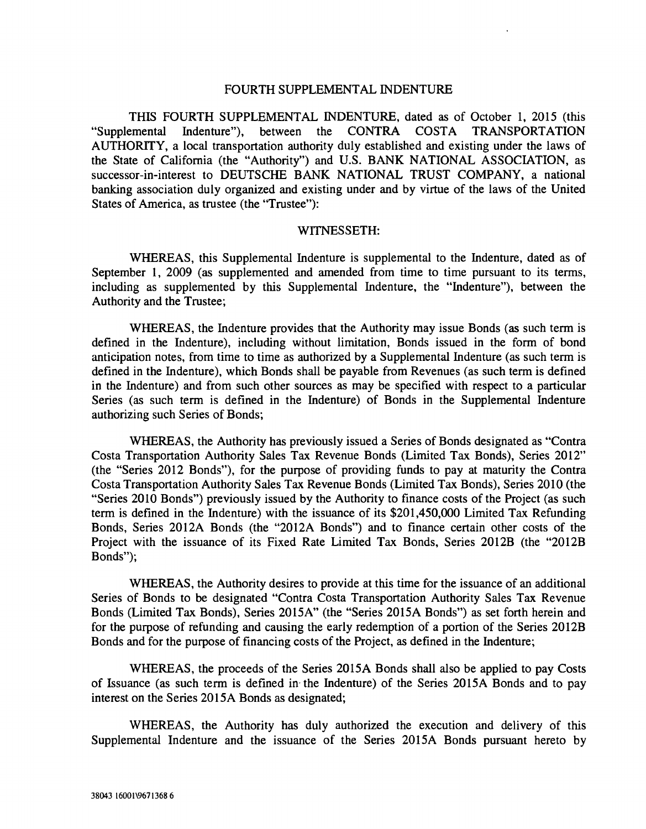#### FOURTH SUPPLEMENTAL INDENTURE

THIS FOURTH SUPPLEMENTAL INDENTURE, dated as of October 1, 2015 (this "Supplemental Indenture"), between the CONTRA COSTA TRANSPORTATION AUTHORITY, a local transportation authority duly established and existing under the laws of the State of California (the "Authority") and U.S. BANK NATIONAL ASSOCIATION, as successor-in-interest to DEUTSCHE BANK NATIONAL TRUST COMPANY, a national banking association duly organized and existing under and by virtue of the laws of the United States of America, as trustee (the "Trustee"):

#### WITNESSETH:

WHEREAS, this Supplemental Indenture is supplemental to the Indenture, dated as of September 1, 2009 (as supplemented and amended from time to time pursuant to its terms, including as supplemented by this Supplemental Indenture, the "Indenture"), between the Authority and the Trustee;

WHEREAS, the Indenture provides that the Authority may issue Bonds (as such term is defined in the Indenture), including without limitation, Bonds issued in the form of bond anticipation notes, from time to time as authorized by a Supplemental Indenture (as such term is defined in the Indenture), which Bonds shall be payable from Revenues (as such term is defined in the Indenture) and from such other sources as may be specified with respect to a particular Series (as such term is defined in the Indenture) of Bonds in the Supplemental Indenture authorizing such Series of Bonds;

WHEREAS, the Authority has previously issued a Series of Bonds designated as "Contra Costa Transportation Authority Sales Tax Revenue Bonds (Limited Tax Bonds), Series 2012" (the "Series 2012 Bonds"), for the purpose of providing funds to pay at maturity the Contra Costa Transportation Authority Sales Tax Revenue Bonds (Limited Tax Bonds), Series 2010 (the "Series 2010 Bonds") previously issued by the Authority to finance costs of the Project (as such term is defined in the Indenture) with the issuance of its \$201,450,000 Limited Tax Refunding Bonds, Series 2012A Bonds (the "2012A Bonds") and to finance certain other costs of the Project with the issuance of its Fixed Rate Limited Tax Bonds, Series 2012B (the "2012B Bonds");

WHEREAS, the Authority desires to provide at this time for the issuance of an additional Series of Bonds to be designated "Contra Costa Transportation Authority Sales Tax Revenue Bonds (Limited Tax Bonds), Series 2015A" (the "Series 2015A Bonds") as set forth herein and for the purpose of refunding and causing the early redemption of a portion of the Series 20l2B Bonds and for the purpose of financing costs of the Project, as defined in the Indenture;

WHEREAS, the proceeds of the Series 2015A Bonds shall also be applied to pay Costs of Issuance (as such term is defined in the Indenture) of the Series 2015A Bonds and to pay interest on the Series 2015A Bonds as designated;

WHEREAS, the Authority has duly authorized the execution and delivery of this Supplemental Indenture and the issuance of the Series 2015A Bonds pursuant hereto by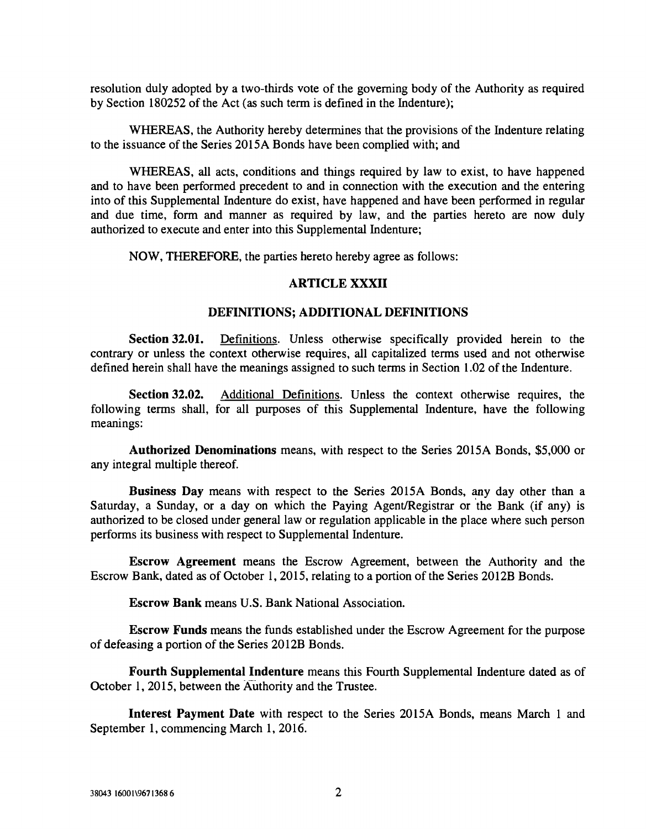resolution duly adopted by a two-thirds vote of the governing body of the Authority as required by Section 180252 of the Act (as such term is defined in the Indenture);

WHEREAS, the Authority hereby determines that the provisions of the Indenture relating to the issuance of the Series 2015A Bonds have been complied with; and

WHEREAS, all acts, conditions and things required by law to exist, to have happened and to have been performed precedent to and in connection with the execution and the entering into of this Supplemental Indenture do exist, have happened and have been performed in regular and due time, form and manner as required by law, and the parties hereto are now duly authorized to execute and enter into this Supplemental Indenture;

NOW, THEREFORE, the parties hereto hereby agree as follows:

#### ARTICLE XXXII

#### DEFINITIONS; ADDITIONAL DEFINITIONS

Section 32.01. Definitions. Unless otherwise specifically provided herein to the contrary or unless the context otherwise requires, all capitalized terms used and not otherwise defined herein shall have the meanings assigned to such terms in Section 1.02 of the Indenture.

Section 32.02. Additional Definitions. Unless the context otherwise requires, the following terms shall, for all purposes of this Supplemental Indenture, have the following meanings:

Authorized Denominations means, with respect to the Series 2015A Bonds, \$5,000 or any integral multiple thereof.

Business Day means with respect to the Series 2015A Bonds, any day other than a Saturday, a Sunday, or a day on which the Paying Agent/Registrar or the Bank (if any) is authorized to be closed under general law or regulation applicable in the place where such person performs its business with respect to Supplemental Indenture.

Escrow Agreement means the Escrow Agreement, between the Authority and the Escrow Bank, dated as of October 1, 2015, relating to a portion of the Series 2012B Bonds.

Escrow Bank means U.S. Bank National Association.

Escrow Funds means the funds established under the Escrow Agreement for the purpose of defeasing a portion of the Series 2012B Bonds.

Fourth Supplemental Indenture means this Fourth Supplemental Indenture dated as of October 1, 2015, between the Aüthority and the Trustee.

Interest Payment Date with respect to the Series 2015A Bonds, means March 1 and September 1, commencing March 1, 2016.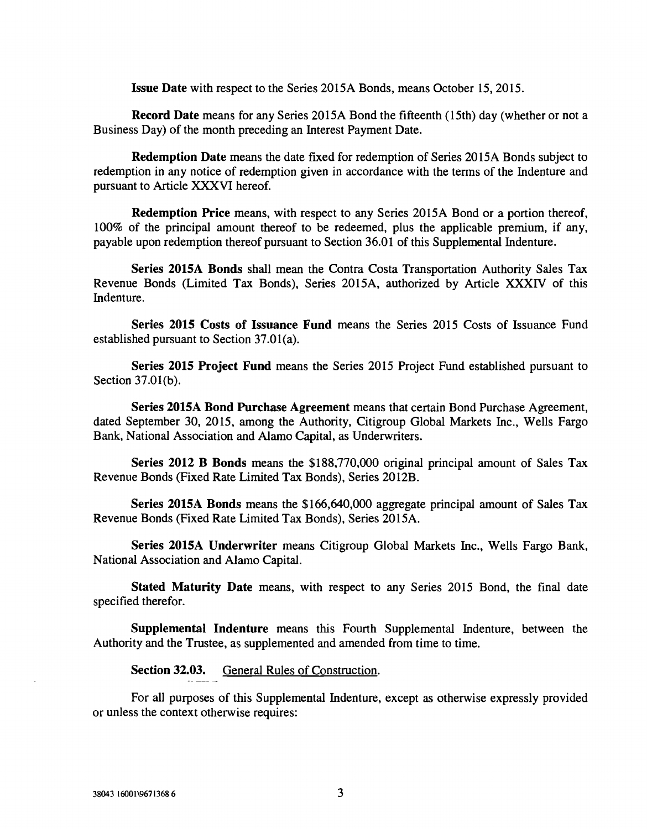Issue Date with respect to the Series 2015A Bonds, means October 15, 2015.

Record Date means for any Series 2015A Bond the fifteenth (15th) day (whether or not a Business Day) of the month preceding an Interest Payment Date.

Redemption Date means the date fixed for redemption of Series 2015A Bonds subject to redemption in any notice of redemption given in accordance with the terms of the Indenture and pursuant to Article XXXVI hereof.

Redemption Price means, with respect to any Series 2015A Bond or a portion thereof, 100% of the principal amount thereof to be redeemed, plus the applicable premium, if any, payable upon redemption thereof pursuant to Section 36.01 of this Supplemental Indenture.

Series 2015A Bonds shall mean the Contra Costa Transportation Authority Sales Tax Revenue Bonds (Limited Tax Bonds), Series 2015A, authorized by Article XXXIV of this Indenture.

Series 2015 Costs of Issuance Fund means the Series 2015 Costs of Issuance Fund established pursuant to Section 37.01(a).

Series 2015 Project Fund means the Series 2015 Project Fund established pursuant to Section 37.01(b).

Series 2015A Bond Purchase Agreement means that certain Bond Purchase Agreement, dated September 30, 2015, among the Authority, Citigroup Global Markets Inc., Wells Fargo Bank, National Association and Alamo Capital, as Underwriters.

Series 2012 B Bonds means the \$188,770,000 original principal amount of Sales Tax Revenue Bonds (Fixed Rate Limited Tax Bonds), Series 2012B.

Series 2015A Bonds means the \$166,640,000 aggregate principal amount of Sales Tax Revenue Bonds (Fixed Rate Limited Tax Bonds), Series 2015A.

Series 2015A Underwriter means Citigroup Global Markets Inc., Wells Fargo Bank, National Association and Alamo Capital.

Stated Maturity Date means, with respect to any Series 2015 Bond, the final date specified therefor.

Supplemental Indenture means this Fourth Supplemental Indenture, between the Authority and the Trustee, as supplemented and amended from time to time.

Section 32.03. General Rules of Construction.

For all purposes of this Supplemental Indenture, except as otherwise expressly provided or unless the context otherwise requires: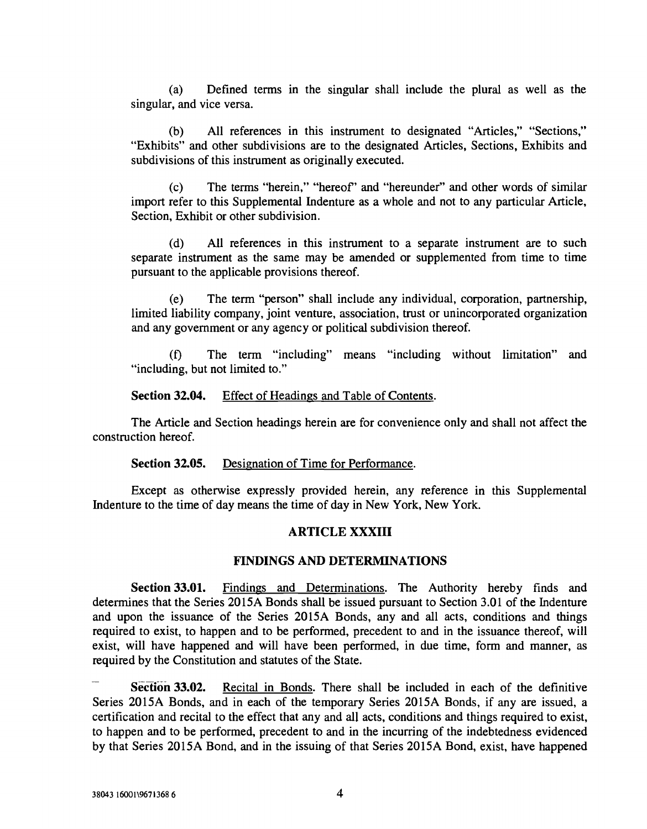(a) Defined terms in the singular shall include the plural as well as the singular, and vice versa.

(b) All references in this instrument to designated "Articles," "Sections," "Exhibits" and other subdivisions are to the designated Articles, Sections, Exhibits and subdivisions of this instrument as originally executed.

(c) The terms "herein," "hereof' and "hereunder" and other words of similar import refer to this Supplemental Indenture as a whole and not to any particular Article, Section, Exhibit or other subdivision.

(d) All references in this instrument to a separate instrument are to such separate instrument as the same may be amended or supplemented from time to time pursuant to the applicable provisions thereof.

(e) The term "person" shall include any individual, corporation, partnership, limited liability company, joint venture, association, trust or unincorporated organization and any government or any agency or political subdivision thereof.

(f) The term "including" means "including without limitation" and "including, but not limited to."

Section 32.04. Effect of Headings and Table of Contents.

The Article and Section headings herein are for convenience only and shall not affect the construction hereof.

#### Section 32.05. Designation of Time for Performance.

Except as otherwise expressly provided herein, any reference in this Supplemental Indenture to the time of day means the time of day in New York, New York.

## ARTICLE XXXIII

## FINDINGS AND DETERMINATIONS

Section 33.01. Findings and Determinations. The Authority hereby finds and determines that the Series 2015A Bonds shall be issued pursuant to Section 3.01 of the Indenture and upon the issuance of the Series 2015A Bonds, any and all acts, conditions and things required to exist, to happen and to be performed, precedent to and in the issuance thereof, will exist, will have happened and will have been performed, in due time, form and manner, as required by the Constitution and statutes of the State.

Section 33.02. Recital in Bonds. There shall be included in each of the definitive Series 2015A Bonds, and in each of the temporary Series 2015A Bonds, if any are issued, a certification and recital to the effect that any and all acts, conditions and things required to exist, to happen and to be performed, precedent to and in the incurring of the indebtedness evidenced by that Series 2015A Bond, and in the issuing of that Series 20l5A Bond, exist, have happened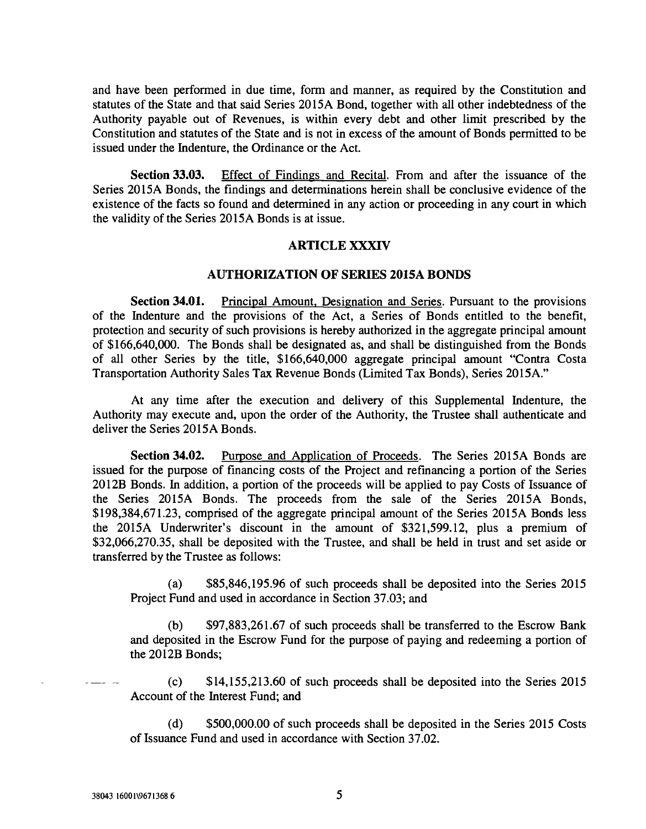and have been performed in due time, form and manner, as required by the Constitution and statutes of the State and that said Series 2015A Bond, together with all other indebtedness of the Authority payable out of Revenues, is within every debt and other limit prescribed by the Constitution and statutes of the State and is not in excess of the amount of Bonds permitted to be issued under the Indenture, the Ordinance or the Act.

Section 33.03. Effect of Findings and Recital. From and after the issuance of the Series 2015A Bonds, the findings and determinations herein shall be conclusive evidence of the existence of the facts so found and determined in any action or proceeding in any court in which the validity of the Series 2015A Bonds is at issue.

#### ARTICLE XXXIV

#### AUTHORIZATION OF SERIES 2015A BONDS

Section 34.01. Principal Amount, Designation and Series. Pursuant to the provisions of the Indenture and the provisions of the Act, a Series of Bonds entitled to the benefit, protection and security of such provisions is hereby authorized in the aggregate principal amount of \$166,640,000. The Bonds shall be designated as, and shall be distinguished from the Bonds of all other Series by the title, \$166,640,000 aggregate principal amount "Contra Costa Transportation Authority Sales Tax Revenue Bonds (Limited Tax Bonds), Series 2015A."

At any time after the execution and delivery of this Supplemental Indenture, the Authority may execute and, upon the order of the Authority, the Trustee shall authenticate and deliver the Series 2015A Bonds.

Section 34.02. Purpose and Application of Proceeds. The Series 2015A Bonds are issued for the purpose of financing costs of the Project and refinancing a portion of the Series 2012B Bonds. In addition, a portion of the proceeds will be applied to pay Costs of Issuance of the Series 2015A Bonds. The proceeds from the sale of the Series 2015A Bonds, \$198,384,671.23, comprised of the aggregate principal amount of the Series 2015A Bonds less the 2015A Underwriter's discount in the amount of \$321,599.12, plus a premium of \$32,066,270.35, shall be deposited with the Trustee, and shall be held in trust and set aside or transferred by the Trustee as follows:

(a) \$85,846,195.96 of such proceeds shall be deposited into the Series 2015 Project Fund and used in accordance in Section 37.03; and

(b) \$97,883,261.67 of such proceeds shall be transferred to the Escrow Bank and deposited in the Escrow Fund for the purpose of paying and redeeming a portion of the 2012B Bonds;

 $\text{(c)}$  \$14,155,213.60 of such proceeds shall be deposited into the Series 2015 Account of the Interest Fund; and

(d) \$500,000.00 of such proceeds shall be deposited in the Series 2015 Costs of Issuance Fund and used in accordance with Section 37.02.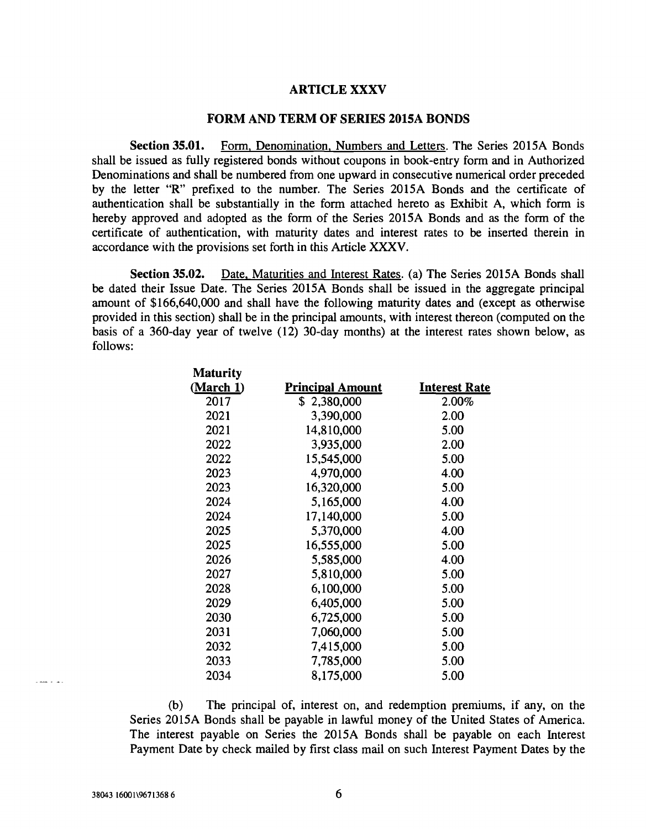#### ARTICLE XXXV

#### FORM AND TERM OF SERIES 2015A BONDS

Section 35.01. Form, Denomination, Numbers and Letters. The Series 2015A Bonds shall be issued as fully registered bonds without coupons in book -entry form and in Authorized Denominations and shall be numbered from one upward in consecutive numerical order preceded by the letter "R" prefixed to the number. The Series 2015A Bonds and the certificate of authentication shall be substantially in the form attached hereto as Exhibit A, which form is hereby approved and adopted as the form of the Series 2015A Bonds and as the form of the certificate of authentication, with maturity dates and interest rates to be inserted therein in accordance with the provisions set forth in this Article XXXV.

Section 35.02. Date, Maturities and Interest Rates. (a) The Series 2015A Bonds shall be dated their Issue Date. The Series 2015A Bonds shall be issued in the aggregate principal amount of \$166,640,000 and shall have the following maturity dates and (except as otherwise provided in this section) shall be in the principal amounts, with interest thereon (computed on the basis of a 360 -day year of twelve (12) 30 -day months) at the interest rates shown below, as follows:

| <b>Principal Amount</b> | <b>Interest Rate</b> |  |
|-------------------------|----------------------|--|
| \$2,380,000             | 2.00%                |  |
| 3,390,000               | 2.00                 |  |
| 14,810,000              | 5.00                 |  |
| 3,935,000               | 2.00                 |  |
| 15,545,000              | 5.00                 |  |
| 4,970,000               | 4.00                 |  |
| 16,320,000              | 5.00                 |  |
| 5,165,000               | 4.00                 |  |
| 17,140,000              | 5.00                 |  |
| 5,370,000               | 4.00                 |  |
| 16,555,000              | 5.00                 |  |
| 5,585,000               | 4.00                 |  |
| 5,810,000               | 5.00                 |  |
| 6,100,000               | 5.00                 |  |
| 6,405,000               | 5.00                 |  |
| 6,725,000               | 5.00                 |  |
| 7,060,000               | 5.00                 |  |
| 7,415,000               | 5.00                 |  |
| 7,785,000               | 5.00                 |  |
| 8,175,000               | 5.00                 |  |
|                         |                      |  |

(b) The principal of, interest on, and redemption premiums, if any, on the Series 2015A Bonds shall be payable in lawful money of the United States of America. The interest payable on Series the 2015A Bonds shall be payable on each Interest Payment Date by check mailed by first class mail on such Interest Payment Dates by the

 $\sim$  mass  $\sim$  10  $\mu$  m  $^{-1}$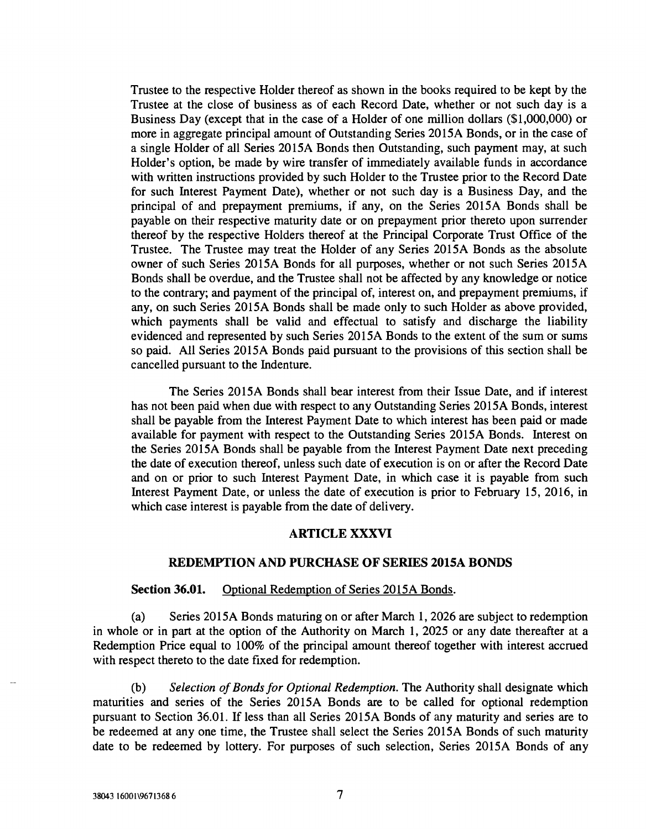Trustee to the respective Holder thereof as shown in the books required to be kept by the Trustee at the close of business as of each Record Date, whether or not such day is a Business Day (except that in the case of a Holder of one million dollars (\$1,000,000) or more in aggregate principal amount of Outstanding Series 2015A Bonds, or in the case of a single Holder of all Series 2015A Bonds then Outstanding, such payment may, at such Holder's option, be made by wire transfer of immediately available funds in accordance with written instructions provided by such Holder to the Trustee prior to the Record Date for such Interest Payment Date), whether or not such day is a Business Day, and the principal of and prepayment premiums, if any, on the Series 2015A Bonds shall be payable on their respective maturity date or on prepayment prior thereto upon surrender thereof by the respective Holders thereof at the Principal Corporate Trust Office of the Trustee. The Trustee may treat the Holder of any Series 2015A Bonds as the absolute owner of such Series 2015A Bonds for all purposes, whether or not such Series 2015A Bonds shall be overdue, and the Trustee shall not be affected by any knowledge or notice to the contrary; and payment of the principal of, interest on, and prepayment premiums, if any, on such Series 2015A Bonds shall be made only to such Holder as above provided, which payments shall be valid and effectual to satisfy and discharge the liability evidenced and represented by such Series 2015A Bonds to the extent of the sum or sums so paid. All Series 2015A Bonds paid pursuant to the provisions of this section shall be cancelled pursuant to the Indenture.

The Series 2015A Bonds shall bear interest from their Issue Date, and if interest has not been paid when due with respect to any Outstanding Series 20l5A Bonds, interest shall be payable from the Interest Payment Date to which interest has been paid or made available for payment with respect to the Outstanding Series 2015A Bonds. Interest on the Series 2015A Bonds shall be payable from the Interest Payment Date next preceding the date of execution thereof, unless such date of execution is on or after the Record Date and on or prior to such Interest Payment Date, in which case it is payable from such Interest Payment Date, or unless the date of execution is prior to February 15, 2016, in which case interest is payable from the date of delivery.

#### ARTICLE XXXVI

#### REDEMPTION AND PURCHASE OF SERIES 2015A BONDS

#### Section 36.01. Optional Redemption of Series 2015A Bonds.

(a) Series 2015A Bonds maturing on or after March 1, 2026 are subject to redemption in whole or in part at the option of the Authority on March 1, 2025 or any date thereafter at a Redemption Price equal to 100% of the principal amount thereof together with interest accrued with respect thereto to the date fixed for redemption.

 $(b)$  Selection of Bonds for Optional Redemption. The Authority shall designate which maturities and series of the Series 2015A Bonds are to be called for optional redemption pursuant to Section 36.01. If less than all Series 2015A Bonds of any maturity and series are to be redeemed at any one time, the Trustee shall select the Series 2015A Bonds of such maturity date to be redeemed by lottery. For purposes of such selection, Series 2015A Bonds of any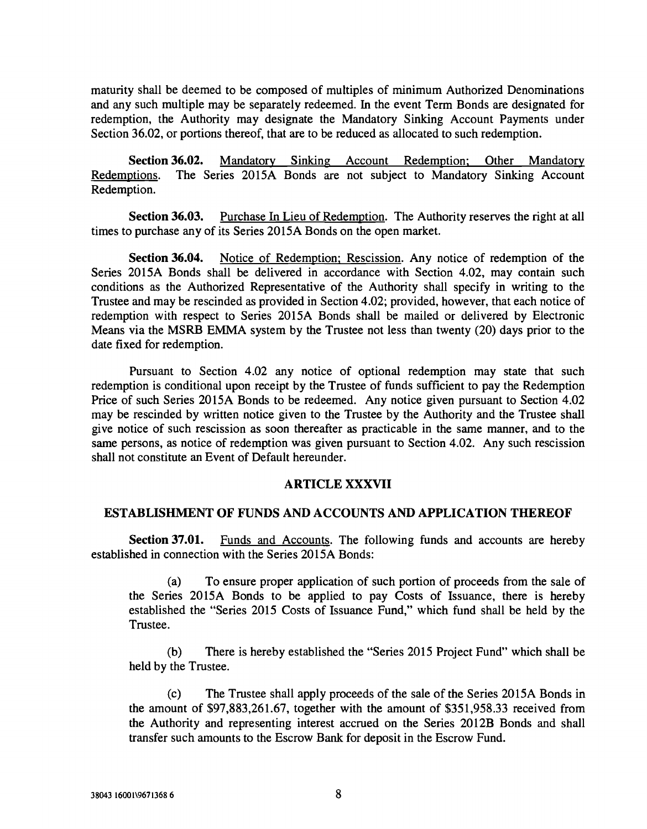maturity shall be deemed to be composed of multiples of minimum Authorized Denominations and any such multiple may be separately redeemed. In the event Term Bonds are designated for redemption, the Authority may designate the Mandatory Sinking Account Payments under Section 36.02, or portions thereof, that are to be reduced as allocated to such redemption.

Section 36.02. Mandatory Sinking Account Redemption; Other Mandatory Redemptions. The Series 2015A Bonds are not subject to Mandatory Sinking Account Redemption.

Section 36.03. Purchase In Lieu of Redemption. The Authority reserves the right at all times to purchase any of its Series 2015A Bonds on the open market.

Section 36.04. Notice of Redemption; Rescission. Any notice of redemption of the Series 2015A Bonds shall be delivered in accordance with Section 4.02, may contain such conditions as the Authorized Representative of the Authority shall specify in writing to the Trustee and may be rescinded as provided in Section 4.02; provided, however, that each notice of redemption with respect to Series 2015A Bonds shall be mailed or delivered by Electronic Means via the MSRB EMMA system by the Trustee not less than twenty (20) days prior to the date fixed for redemption.

Pursuant to Section 4.02 any notice of optional redemption may state that such redemption is conditional upon receipt by the Trustee of funds sufficient to pay the Redemption Price of such Series 20l5A Bonds to be redeemed. Any notice given pursuant to Section 4.02 may be rescinded by written notice given to the Trustee by the Authority and the Trustee shall give notice of such rescission as soon thereafter as practicable in the same manner, and to the same persons, as notice of redemption was given pursuant to Section 4.02. Any such rescission shall not constitute an Event of Default hereunder.

## ARTICLE XXXVII

#### ESTABLISHMENT OF FUNDS AND ACCOUNTS AND APPLICATION THEREOF

Section 37.01. Funds and Accounts. The following funds and accounts are hereby established in connection with the Series 2015A Bonds:

(a) To ensure proper application of such portion of proceeds from the sale of the Series 2015A Bonds to be applied to pay Costs of Issuance, there is hereby established the "Series 2015 Costs of Issuance Fund," which fund shall be held by the Trustee.

(b) There is hereby established the "Series 2015 Project Fund" which shall be held by the Trustee.

(c) The Trustee shall apply proceeds of the sale of the Series 2015A Bonds in the amount of \$97,883,261.67, together with the amount of \$351,958.33 received from the Authority and representing interest accrued on the Series 2012B Bonds and shall transfer such amounts to the Escrow Bank for deposit in the Escrow Fund.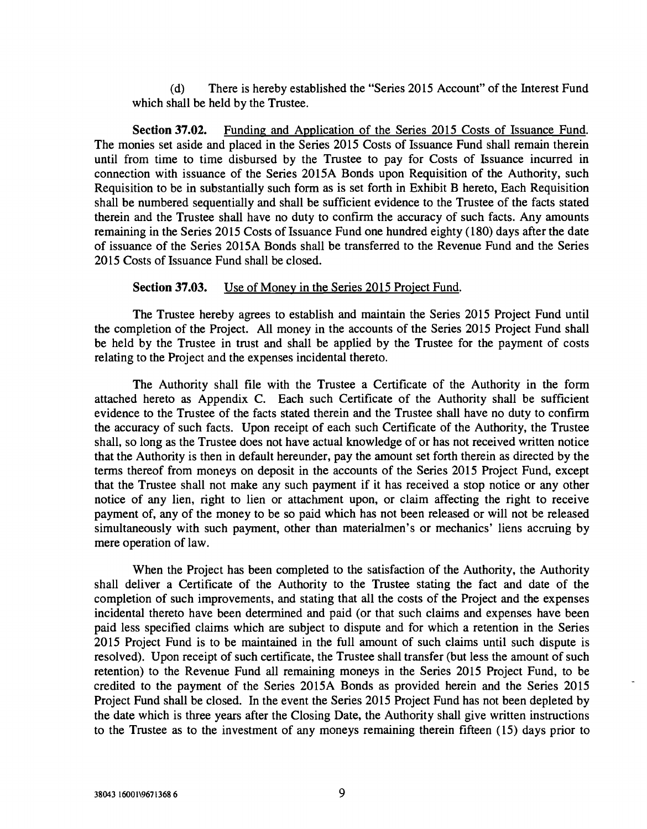(d) There is hereby established the "Series 2015 Account" of the Interest Fund which shall be held by the Trustee.

Section 37.02. Funding and Application of the Series 2015 Costs of Issuance Fund. The monies set aside and placed in the Series 2015 Costs of Issuance Fund shall remain therein until from time to time disbursed by the Trustee to pay for Costs of Issuance incurred in connection with issuance of the Series 2015A Bonds upon Requisition of the Authority, such Requisition to be in substantially such form as is set forth in Exhibit B hereto, Each Requisition shall be numbered sequentially and shall be sufficient evidence to the Trustee of the facts stated therein and the Trustee shall have no duty to confirm the accuracy of such facts. Any amounts remaining in the Series 2015 Costs of Issuance Fund one hundred eighty (180) days after the date of issuance of the Series 2015A Bonds shall be transferred to the Revenue Fund and the Series 2015 Costs of Issuance Fund shall be closed.

#### Section 37.03. Use of Money in the Series 2015 Project Fund.

The Trustee hereby agrees to establish and maintain the Series 2015 Project Fund until the completion of the Project. All money in the accounts of the Series 2015 Project Fund shall be held by the Trustee in trust and shall be applied by the Trustee for the payment of costs relating to the Project and the expenses incidental thereto.

The Authority shall file with the Trustee a Certificate of the Authority in the form attached hereto as Appendix C. Each such Certificate of the Authority shall be sufficient evidence to the Trustee of the facts stated therein and the Trustee shall have no duty to confirm the accuracy of such facts. Upon receipt of each such Certificate of the Authority, the Trustee shall, so long as the Trustee does not have actual knowledge of or has not received written notice that the Authority is then in default hereunder, pay the amount set forth therein as directed by the terms thereof from moneys on deposit in the accounts of the Series 2015 Project Fund, except that the Trustee shall not make any such payment if it has received a stop notice or any other notice of any lien, right to lien or attachment upon, or claim affecting the right to receive payment of, any of the money to be so paid which has not been released or will not be released simultaneously with such payment, other than materialmen's or mechanics' liens accruing by mere operation of law.

When the Project has been completed to the satisfaction of the Authority, the Authority shall deliver a Certificate of the Authority to the Trustee stating the fact and date of the completion of such improvements, and stating that all the costs of the Project and the expenses incidental thereto have been determined and paid (or that such claims and expenses have been paid less specified claims which are subject to dispute and for which a retention in the Series 2015 Project Fund is to be maintained in the full amount of such claims until such dispute is resolved). Upon receipt of such certificate, the Trustee shall transfer (but less the amount of such retention) to the Revenue Fund all remaining moneys in the Series 2015 Project Fund, to be credited to the payment of the Series 2015A Bonds as provided herein and the Series 2015 Project Fund shall be closed. In the event the Series 2015 Project Fund has not been depleted by the date which is three years after the Closing Date, the Authority shall give written instructions to the Trustee as to the investment of any moneys remaining therein fifteen (15) days prior to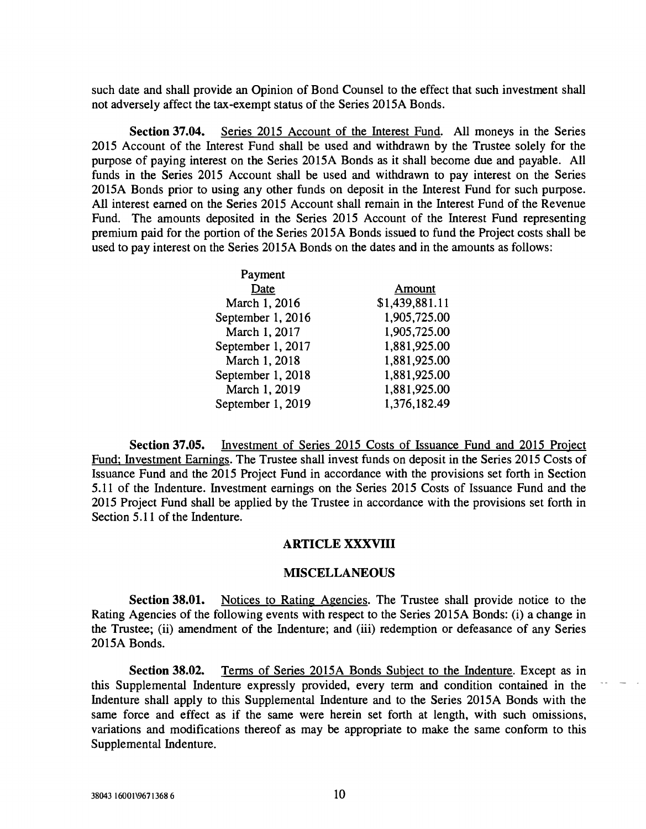such date and shall provide an Opinion of Bond Counsel to the effect that such investment shall not adversely affect the tax-exempt status of the Series 2015A Bonds.

Section 37.04. Series 2015 Account of the Interest Fund. All moneys in the Series 2015 Account of the Interest Fund shall be used and withdrawn by the Trustee solely for the purpose of paying interest on the Series 2015A Bonds as it shall become due and payable. All funds in the Series 2015 Account shall be used and withdrawn to pay interest on the Series 2015A Bonds prior to using any other funds on deposit in the Interest Fund for such purpose. All interest earned on the Series 2015 Account shall remain in the Interest Fund of the Revenue Fund. The amounts deposited in the Series 2015 Account of the Interest Fund representing premium paid for the portion of the Series 2015A Bonds issued to fund the Project costs shall be used to pay interest on the Series 2015A Bonds on the dates and in the amounts as follows:

| Amount         |
|----------------|
| \$1,439,881.11 |
| 1,905,725.00   |
| 1,905,725.00   |
| 1,881,925.00   |
| 1,881,925.00   |
| 1,881,925.00   |
| 1,881,925.00   |
| 1,376,182.49   |
|                |

Section 37.05. Investment of Series 2015 Costs of Issuance Fund and 2015 Project Fund; Investment Earnings. The Trustee shall invest funds on deposit in the Series 2015 Costs of Issuance Fund and the 2015 Project Fund in accordance with the provisions set forth in Section 5.11 of the Indenture. Investment earnings on the Series 2015 Costs of Issuance Fund and the 2015 Project Fund shall be applied by the Trustee in accordance with the provisions set forth in Section 5.11 of the Indenture.

#### ARTICLE XXXVIII

#### MISCELLANEOUS

Section 38.01. Notices to Rating Agencies. The Trustee shall provide notice to the Rating Agencies of the following events with respect to the Series 20 ISA Bonds: (i) a change in the Trustee; (ii) amendment of the Indenture; and (iii) redemption or defeasance of any Series 2015A Bonds.

Section 38.02. Terms of Series 2015A Bonds Subject to the Indenture. Except as in this Supplemental Indenture expressly provided, every term and condition contained in the - Indenture shall apply to this Supplemental Indenture and to the Series 2015A Bonds with the same force and effect as if the same were herein set forth at length, with such omissions, variations and modifications thereof as may be appropriate to make the same conform to this Supplemental Indenture.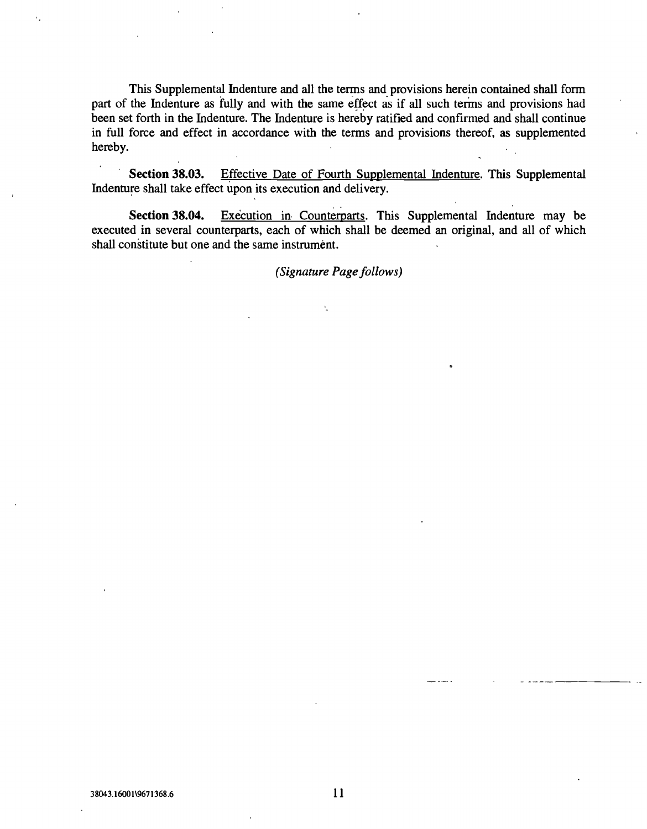This Supplemental Indenture and all the terms and provisions herein contained shall form part of the Indenture as fully and with the same effect as if all such terms and provisions had been set forth in the Indenture. The Indenture is hereby ratified and confirmed and shall continue in full force and effect in accordance with the terms and provisions thereof, as supplemented hereby.

Section 38.03. Effective Date of Fourth Supplemental Indenture. This Supplemental Indenture shall take effect upon its execution and delivery.

Section 38.04. Execution in Counterparts. This Supplemental Indenture may be executed in several counterparts, each of which shall be deemed an original, and all of which shall constitute but one and the same instrument.

(Signature Page follows)

 $\bar{\Sigma}$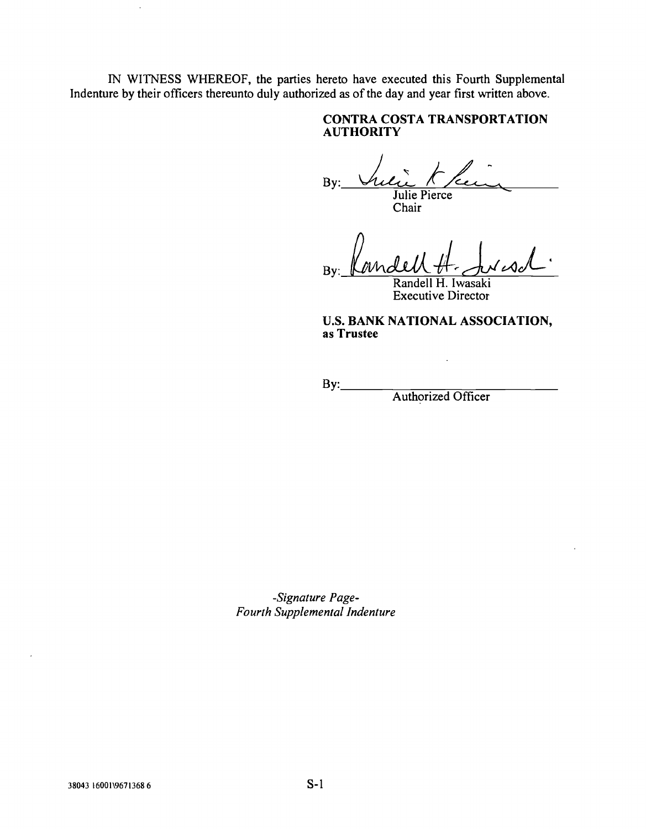IN WITNESS WHEREOF, the parties hereto have executed this Fourth Supplemental Indenture by their officers thereunto duly authorized as of the day and year first written above.

## CONTRA COSTA TRANSPORTATION **AUTHORITY**

By: Julie Pierce

Chair

By:

Randell H. Iwasaki Executive Director

U.S. BANK NATIONAL ASSOCIATION, as Trustee

 $By:$ 

Authorized Officer

-Signature Page-Fourth Supplemental Indenture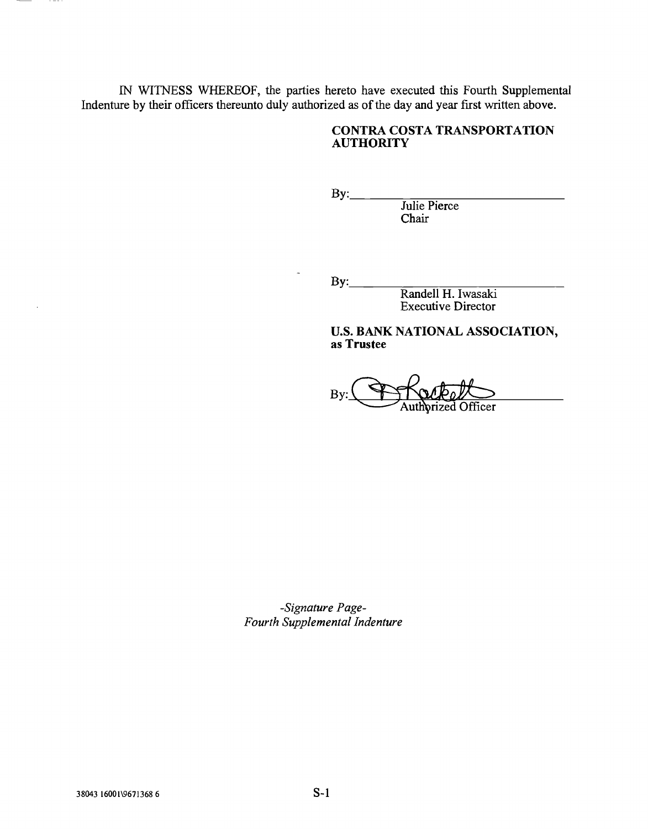[N WITNESS WHEREOF, the parties hereto have executed this Fourth Supplemental Indenture by their officers thereunto duly authorized as of the day and year first written above.

## CONTRA COSTA TRANSPORTATION **AUTHORITY**

 $By:$ 

Julie Pierce Chair

 $By:$ 

Randell H. Iwasaki Executive Director

U.S. BANK NATIONAL ASSOCIATION, as Trustee

 $By:$ prized Officer

-Signature Page-Fourth Supplemental Indenture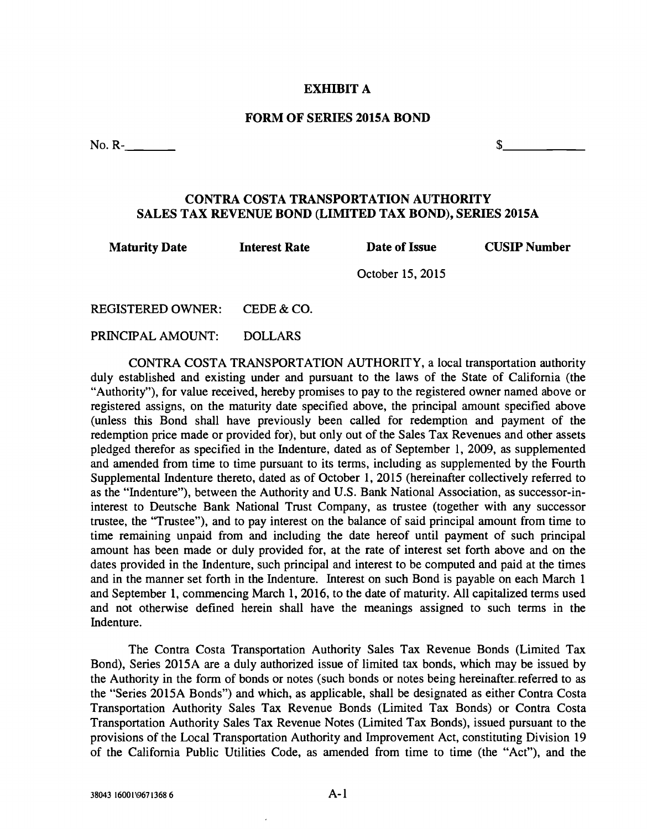#### EXHIBIT A

#### FORM OF SERIES 2015A BOND

No. R- $\frac{1}{2}$  R =  $\frac{1}{2}$  R =  $\frac{1}{2}$  R =  $\frac{1}{2}$  R =  $\frac{1}{2}$  R =  $\frac{1}{2}$  R =  $\frac{1}{2}$  R =  $\frac{1}{2}$  R =  $\frac{1}{2}$  R =  $\frac{1}{2}$  R =  $\frac{1}{2}$  R =  $\frac{1}{2}$  R =  $\frac{1}{2}$  R =  $\frac{1}{2}$  R =  $\frac{1}{2}$  R =  $\frac{1$ 

## CONTRA COSTA TRANSPORTATION AUTHORITY SALES TAX REVENUE BOND (LIMITED TAX BOND), SERIES 2015A

| <b>Maturity Date</b> | <b>Interest Rate</b> | Date of Issue | <b>CUSIP Number</b> |
|----------------------|----------------------|---------------|---------------------|
|                      | October 15, 2015     |               |                     |

REGISTERED OWNER: CEDE & CO.

PRINCIPAL AMOUNT: DOLLARS

CONTRA COSTA TRANSPORTATION AUTHORiTY, a local transportation authority duly established and existing under and pursuant to the laws of the State of California (the "Authority"), for value received, hereby promises to pay to the registered owner named above or registered assigns, on the maturity date specified above, the principal amount specified above (unless this Bond shall have previously been called for redemption and payment of the redemption price made or provided for), but only out of the Sales Tax Revenues and other assets pledged therefor as specified in the Indenture, dated as of September 1, 2009, as supplemented and amended from time to time pursuant to its terms, including as supplemented by the Fourth Supplemental Indenture thereto, dated as of October 1, 2015 (hereinafter collectively referred to as the "Indenture"), between the Authority and U.S. Bank National Association, as successor -in interest to Deutsche Bank National Trust Company, as trustee (together with any successor trustee, the "Trustee"), and to pay interest on the balance of said principal amount from time to time remaining unpaid from and including the date hereof until payment of such principal amount has been made or duly provided for, at the rate of interest set forth above and on the dates provided in the Indenture, such principal and interest to be computed and paid at the times and in the manner set forth in the Indenture. Interest on such Bond is payable on each March 1 and September 1, commencing March 1, 2016, to the date of maturity. All capitalized terms used and not otherwise defined herein shall have the meanings assigned to such terms in the Indenture.

The Contra Costa Transportation Authority Sales Tax Revenue Bonds (Limited Tax Bond), Series 2015A are a duly authorized issue of limited tax bonds, which may be issued by the Authority in the form of bonds or notes (such bonds or notes being hereinafter referred to as the "Series 2015A Bonds") and which, as applicable, shall be designated as either Contra Costa Transportation Authority Sales Tax Revenue Bonds (Limited Tax Bonds) or Contra Costa Transportation Authority Sales Tax Revenue Notes (Limited Tax Bonds), issued pursuant to the provisions of the Local Transportation Authority and Improvement Act, constituting Division 19 of the California Public Utilities Code, as amended from time to time (the "Act"), and the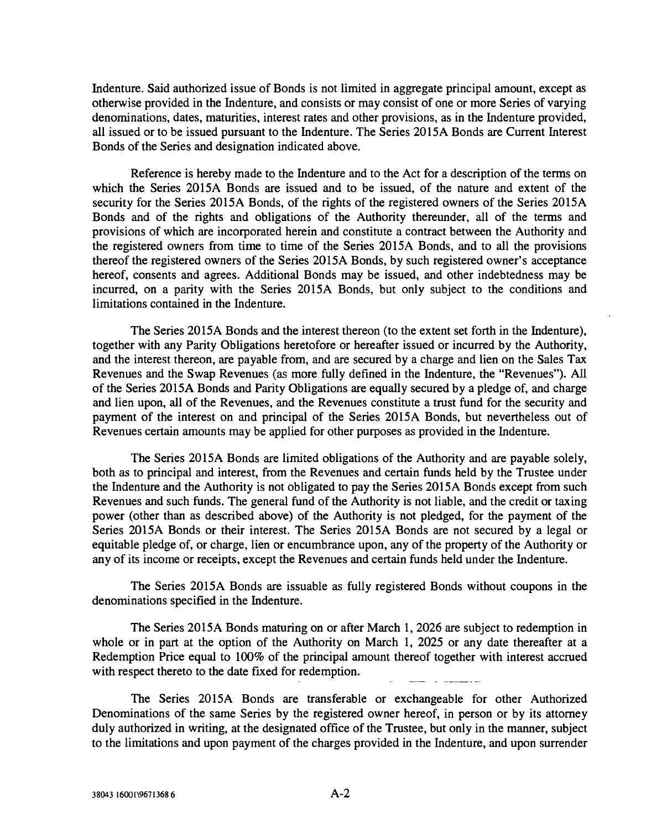Indenture. Said authorized issue of Bonds is not limited in aggregate principal amount, except as otherwise provided in the Indenture, and consists or may consist of one or more Series of varying denominations, dates, maturities, interest rates and other provisions, as in the Indenture provided, all issued or to be issued pursuant to the Indenture. The Series 2015A Bonds are Current Interest Bonds of the Series and designation indicated above.

Reference is hereby made to the Indenture and to the Act for a description of the terms on which the Series 2015A Bonds are issued and to be issued, of the nature and extent of the security for the Series 2015A Bonds, of the rights of the registered owners of the Series 2015A Bonds and of the rights and obligations of the Authority thereunder, all of the terms and provisions of which are incorporated herein and constitute a contract between the Authority and the registered owners from time to time of the Series 2015A Bonds, and to all the provisions thereof the registered owners of the Series 2015A Bonds, by such registered owner's acceptance hereof, consents and agrees. Additional Bonds may be issued, and other indebtedness may be incurred, on a parity with the Series 2015A Bonds, but only subject to the conditions and limitations contained in the Indenture.

The Series 2015A Bonds and the interest thereon (to the extent set forth in the Indenture), together with any Parity Obligations heretofore or hereafter issued or incurred by the Authority, and the interest thereon, are payable from, and are secured by a charge and lien on the Sales Tax Revenues and the Swap Revenues (as more fully defined in the Indenture, the "Revenues"). All of the Series 2015A Bonds and Parity Obligations are equally secured by a pledge of, and charge and lien upon, all of the Revenues, and the Revenues constitute a trust fund for the security and payment of the interest on and principal of the Series 2015A Bonds, but nevertheless out of Revenues certain amounts may be applied for other purposes as provided in the Indenture.

The Series 2015A Bonds are limited obligations of the Authority and are payable solely, both as to principal and interest, from the Revenues and certain funds held by the Trustee under the Indenture and the Authority is not obligated to pay the Series 2015A Bonds except from such Revenues and such funds. The general fund of the Authority is not liable, and the credit or taxing power (other than as described above) of the Authority is not pledged, for the payment of the Series 2015A Bonds or their interest. The Series 2015A Bonds are not secured by a legal or equitable pledge of, or charge, lien or encumbrance upon, any of the property of the Authority or any of its income or receipts, except the Revenues and certain funds held under the Indenture.

The Series 20l5A Bonds are issuable as fully registered Bonds without coupons in the denominations specified in the Indenture.

The Series 2015A Bonds maturing on or after March 1, 2026 are subject to redemption in whole or in part at the option of the Authority on March 1, 2025 or any date thereafter at a Redemption Price equal to 100% of the principal amount thereof together with interest accrued with respect thereto to the date fixed for redemption.

The Series 2015A Bonds are transferable or exchangeable for other Authorized Denominations of the same Series by the registered owner hereof, in person or by its attorney duly authorized in writing, at the designated office of the Trustee, but only in the manner, subject to the limitations and upon payment of the charges provided in the Indenture, and upon surrender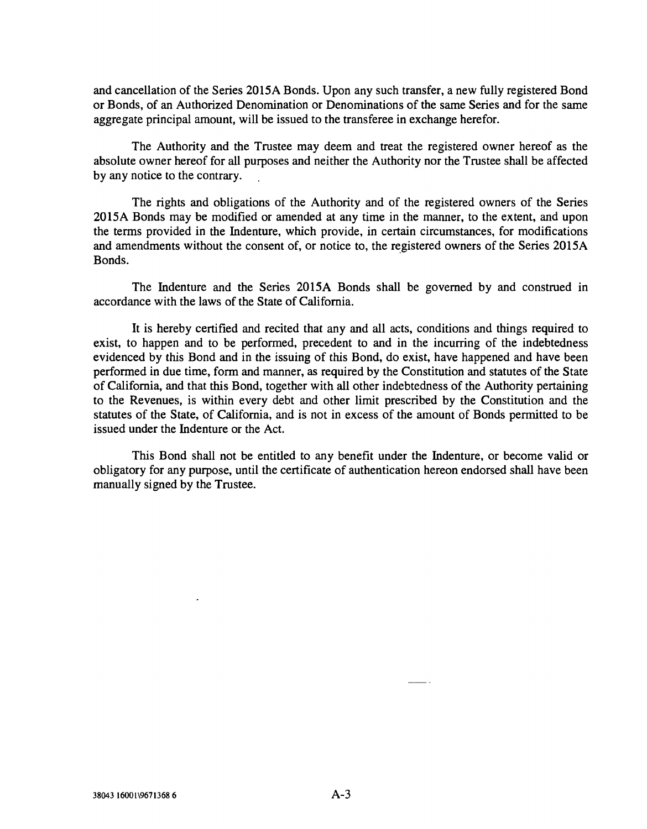and cancellation of the Series 2015A Bonds. Upon any such transfer, a new fuily registered Bond or Bonds, of an Authorized Denomination or Denominations of the same Series and for the same aggregate principal amount, will be issued to the transferee in exchange herefor.

The Authority and the Trustee may deem and treat the registered owner hereof as the absolute owner hereof for all purposes and neither the Authority nor the Trustee shall be affected by any notice to the contrary.

The rights and obligations of the Authority and of the registered owners of the Series 2015A Bonds may be modified or amended at any time in the manner, to the extent, and upon the terms provided in the Indenture, which provide, in certain circumstances, for modifications and amendments without the consent of, or notice to, the registered owners of the Series 2015A Bonds.

The Indenture and the Series 2015A Bonds shall be governed by and construed in accordance with the laws of the State of California.

It is hereby certified and recited that any and all acts, conditions and things required to exist, to happen and to be performed, precedent to and in the incurring of the indebtedness evidenced by this Bond and in the issuing of this Bond, do exist, have happened and have been performed in due time, form and manner, as required by the Constitution and statutes of the State of California, and that this Bond, together with all other indebtedness of the Authority pertaining to the Revenues, is within every debt and other limit prescribed by the Constitution and the statutes of the State, of California, and is not in excess of the amount of Bonds permitted to be issued under the Indenture or the Act.

This Bond shall not be entitled to any benefit under the Indenture, or become valid or obligatory for any purpose, until the certificate of authentication hereon endorsed shall have been manually signed by the Trustee.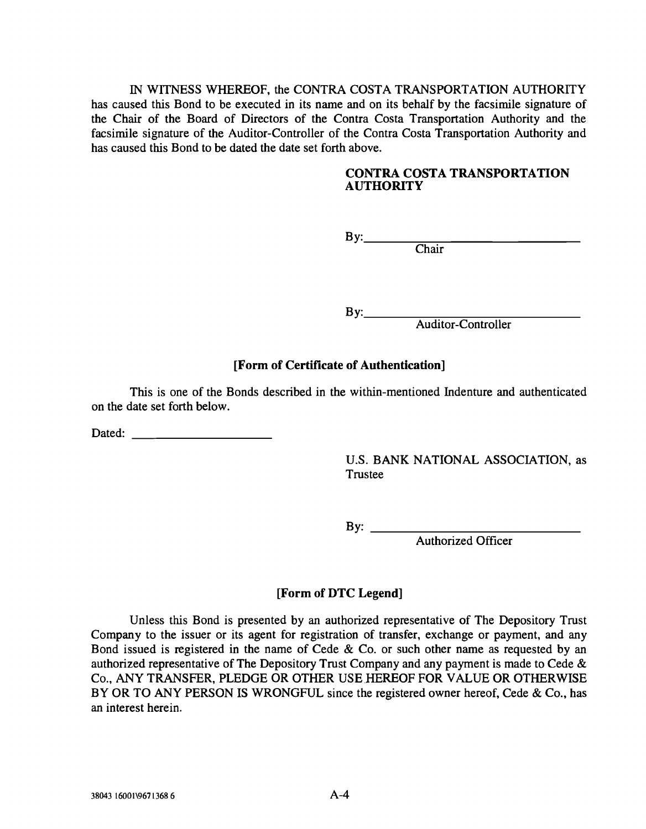IN WITNESS WHEREOF, the CONTRA COSTA TRANSPORTATION AUTHORITY has caused this Bond to be executed in its name and on its behalf by the facsimile signature of the Chair of the Board of Directors of the Contra Costa Transportation Authority and the facsimile signature of the Auditor -Controller of the Contra Costa Transportation Authority and has caused this Bond to be dated the date set forth above.

## CONTRA COSTA TRANSPORTATION **AUTHORITY**

By:

Chair

By:\_\_\_\_\_

Auditor -Controller

# [Form of Certificate of Authentication]

This is one of the Bonds described in the within -mentioned Indenture and authenticated on the date set forth below.

Dated:

U.S. BANK NATIONAL ASSOCIATION, as Trustee

By: <u>Authorized Officer</u>

# [Form of DTC Legend]

Unless this Bond is presented by an authorized representative of The Depository Trust Company to the issuer or its agent for registration of transfer, exchange or payment, and any Bond issued is registered in the name of Cede & Co. or such other name as requested by an authorized representative of The Depository Trust Company and any payment is made to Cede & Co., ANY TRANSFER, PLEDGE OR OTHER USE HEREOF FOR VALUE OR OTHERWISE BY OR TO ANY PERSON IS WRONGFUL since the registered owner hereof, Cede & Co., has an interest herein.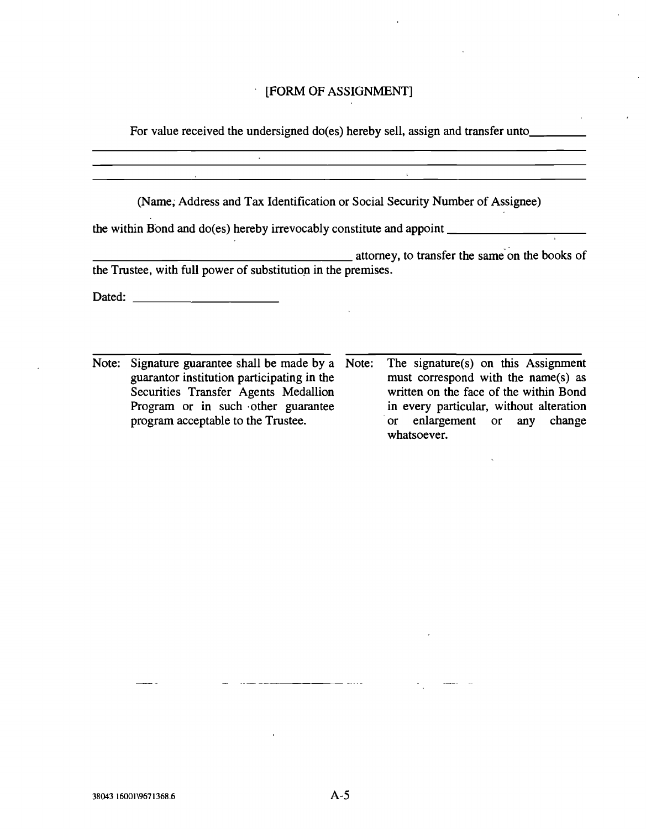## [FORM OF ASSIGNMENT]

For value received the undersigned do(es) hereby sell, assign and transfer unto

 $\sim$ 

 $\mathbb{R}^2$ 

(Name; Address and Tax Identification or Social Security Number of Assignee) the within Bond and do(es) hereby irrevocably constitute and appoint \_\_\_\_\_\_\_\_\_\_\_ **attorney**, to transfer the same on the books of the Trustee, with full power of substitution in the premises. Dated: <u>with the contract of the contract of the contract of the contract of the contract of the contract of the contract of the contract of the contract of the contract of the contract of the contract of the contract of t</u>

Note: Signature guarantee shall be made by a Note: guarantor institution participating in the Securities Transfer Agents Medallion Program or in such other guarantee program acceptable to the Trustee. The signature(s) on this Assignment must correspond with the name(s) as written on the face of the within Bond in every particular, without alteration or enlargement or any change whatsoever.

 $\overline{\phantom{a}}$  ....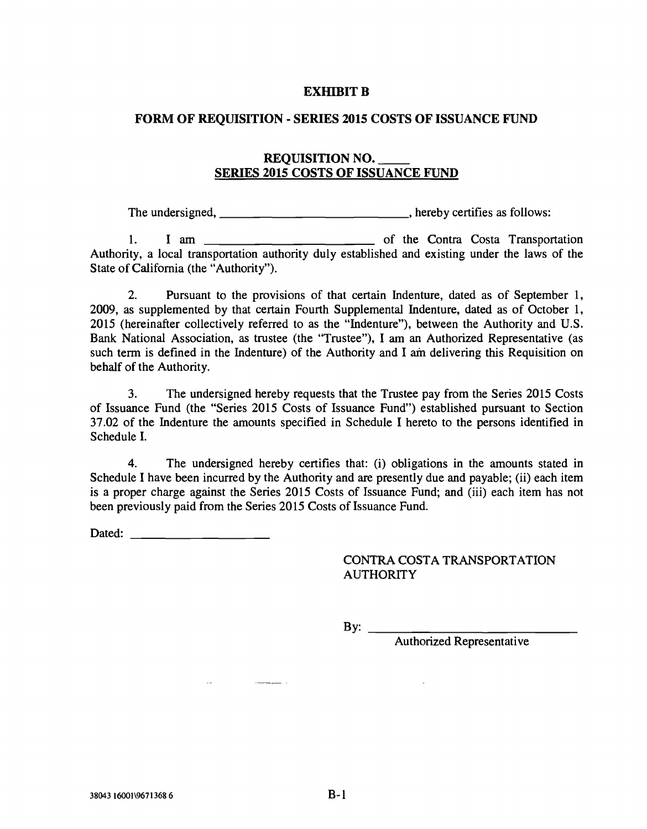#### EXHIBIT B

#### FORM OF REQUISITION - SERIES 2015 COSTS OF ISSUANCE FUND

## REQUISITION NO.\_\_\_ SERIES 2015 COSTS OF ISSUANCE FUND

The undersigned, \_\_\_\_\_\_\_\_\_\_\_\_\_\_\_\_\_\_\_\_\_\_\_\_\_\_\_\_\_, hereby certifies as follows:

1. I am <u>secondary and the Contra Costa</u> Transportation Authority, a local transportation authority duly established and existing under the laws of the State of California (the "Authority").

2. Pursuant to the provisions of that certain Indenture, dated as of September 1, 2009, as supplemented by that certain Fourth Supplemental Indenture, dated as of October 1, 2015 (hereinafter collectively referred to as the "Indenture"), between the Authority and U.S. Bank National Association, as trustee (the "Trustee"), I am an Authorized Representative (as such term is defined in the Indenture) of the Authority and I am delivering this Requisition on behalf of the Authority.

3. The undersigned hereby requests that the Trustee pay from the Series 2015 Costs of Issuance Fund (the "Series 2015 Costs of Issuance Fund") established pursuant to Section 37.02 of the Indenture the amounts specified in Schedule I hereto to the persons identified in Schedule I.

4. The undersigned hereby certifies that: (i) obligations in the amounts stated in Schedule I have been incurred by the Authority and are presently due and payable; (ii) each item is a proper charge against the Series 2015 Costs of Issuance Fund; and (iii) each item has not been previously paid from the Series 2015 Costs of Issuance Fund.

Dated: the contract of the contract of the contract of the contract of the contract of the contract of the contract of the contract of the contract of the contract of the contract of the contract of the contract of the con

 $\Delta\omega$  .

## CONTRA COSTA TRANSPORTATION **AUTHORITY**

By:  $\frac{ }{ }$ 

Authorized Representative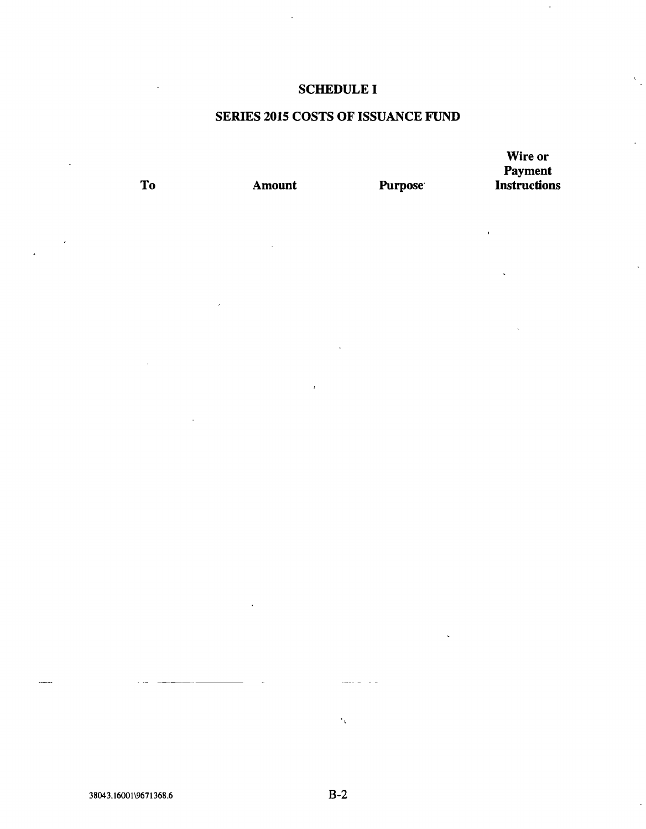# SCHEDULE I

# SERIES 2015 COSTS OF ISSUANCE FUND

Wire or Payment To Amount Purpose Instructions

 $\ddot{\phantom{1}}$ 

38043.16001\9671368.6 B-2

 $\epsilon_{\rm t}$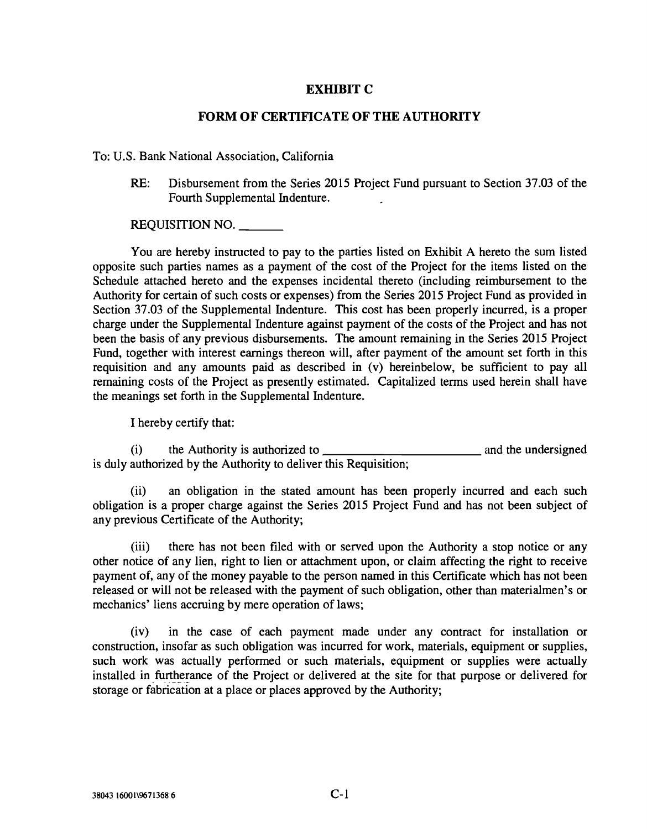## EXHIBIT C

#### FORM OF CERTIFICATE OF THE AUTHORITY

#### To: U.S. Bank National Association, California

RE: Disbursement from the Series 2015 Project Fund pursuant to Section 37.03 of the Fourth Supplemental Indenture.

#### REQUISITION NO.

You are hereby instructed to pay to the parties listed on Exhibit A hereto the sum listed opposite such parties names as a payment of the cost of the Project for the items listed on the Schedule attached hereto and the expenses incidental thereto (including reimbursement to the Authority for certain of such costs or expenses) from the Series 2015 Project Fund as provided in Section 37.03 of the Supplemental Indenture. This cost has been properly incurred, is a proper charge under the Supplemental Indenture against payment of the costs of the Project and has not been the basis of any previous disbursements. The amount remaining in the Series 2015 Project Fund, together with interest earnings thereon will, after payment of the amount set forth in this requisition and any amounts paid as described in (v) hereinbelow, be sufficient to pay all remaining costs of the Project as presently estimated. Capitalized terms used herein shall have the meanings set forth in the Supplemental Indenture.

I hereby certify that:

(i) the Authority is authorized to is duly authorized by the Authority to deliver this Requisition; and the undersigned

(ii) an obligation in the stated amount has been properly incurred and each such obligation is a proper charge against the Series 2015 Project Fund and has not been subject of any previous Certificate of the Authority;

(iii) there has not been filed with or served upon the Authority a stop notice or any other notice of any lien, right to lien or attachment upon, or claim affecting the right to receive payment of, any of the money payable to the person named in this Certificate which has not been released or will not be released with the payment of such obligation, other than materialmen's or mechanics' liens accruing by mere operation of laws;

(iv) in the case of each payment made under any contract for installation or construction, insofar as such obligation was incurred for work, materials, equipment or supplies, such work was actually performed or such materials, equipment or supplies were actually installed in furtherance of the Project or delivered at the site for that purpose or delivered for storage or fabrication at a place or places approved by the Authority;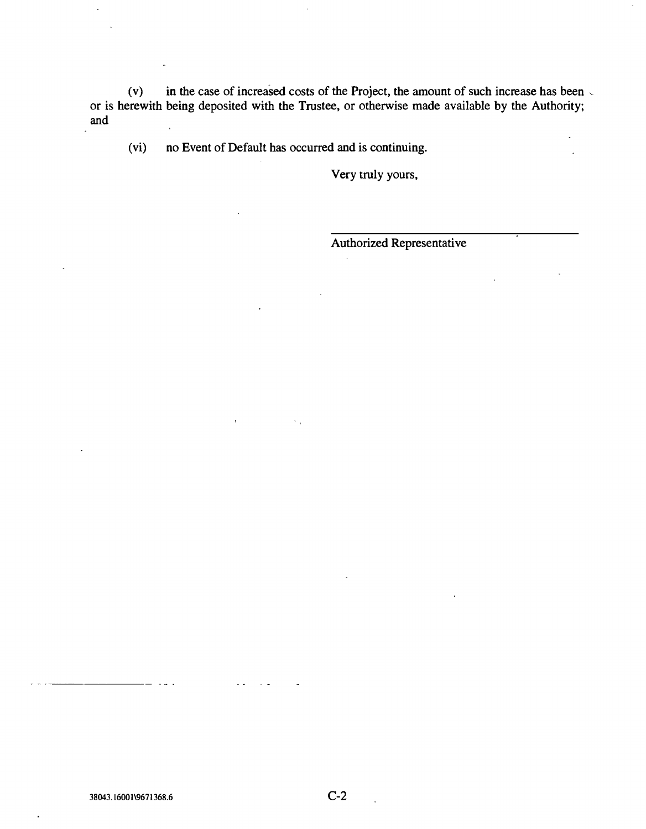(v) in the case of increased costs of the Project, the amount of such increase has been  $\sqrt{ }$ or is herewith being deposited with the Trustee, or otherwise made available by the Authority; and

(vi) no Event of Default has occurred and is continuing.

 $\mathbf{v}$  .

Very truiy yours,

Authorized Representative